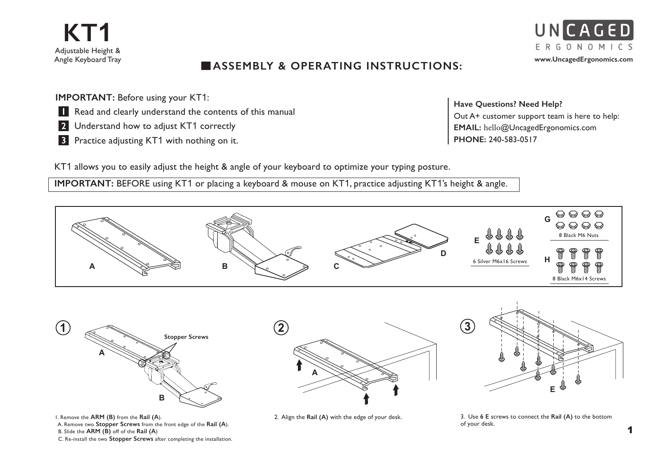

## **ASSEMBLY & OPERATING INSTRUCTIONS:**

**IMPORTANT: Before using your KT1:** 

- **Read and clearly understand the contents of this manual**
- 2 Understand how to adjust KT1 correctly
- **3** Practice adjusting KT1 with nothing on it.

**Have Questions? Need Help?** Out A+ customer support team is here to help: **EMAIL:** hello@UncagedErgonomics.com **PHONE:** 240-583-0517

KT1 allows you to easily adjust the height & angle of your keyboard to optimize your typing posture.

**IMPORTANT:** BEFORE using KT1 or placing a keyboard & mouse on KT1, practice adjusting KT1's height & angle.



B. Slide the **ARM (B)** off of the **Rail (A**)

C. Re-install the two **Stopper Screws** after completing the installation.